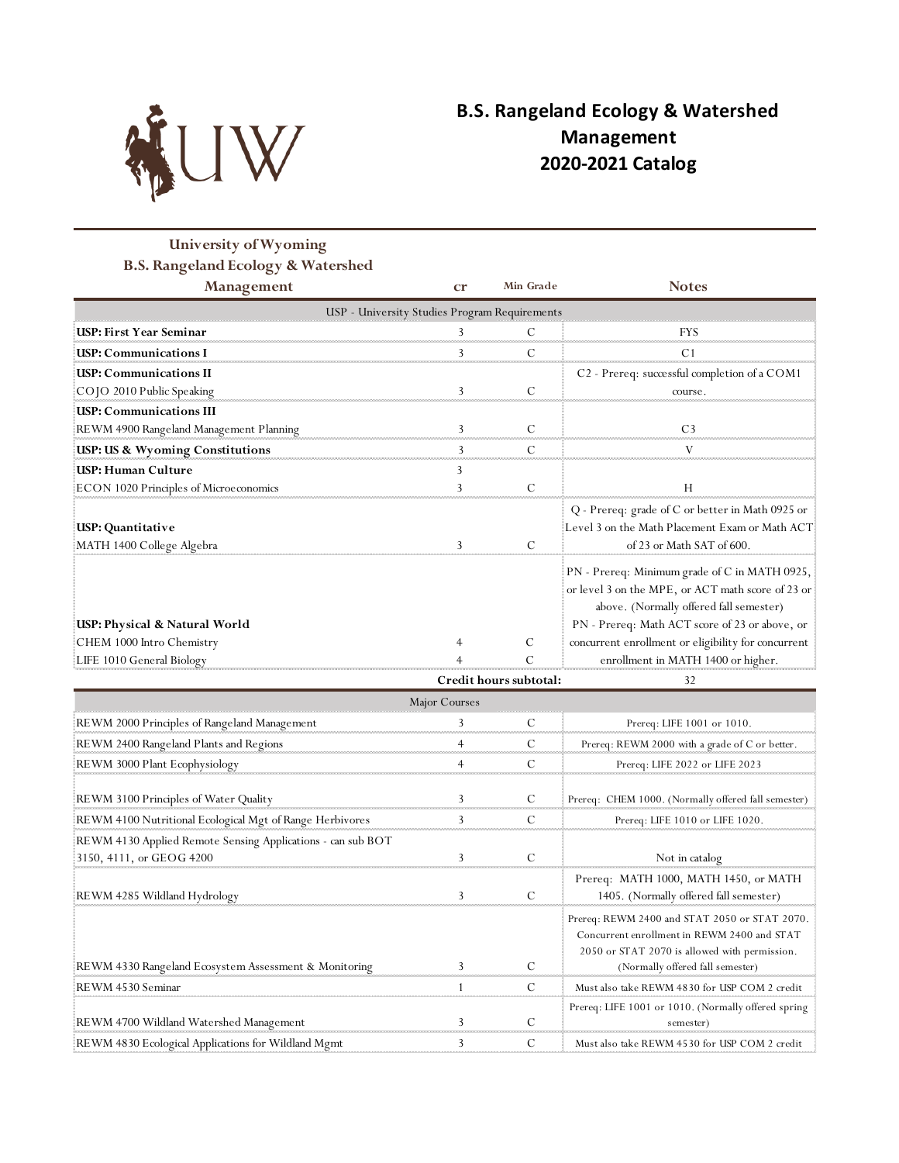

## **B.S. Rangeland Ecology & Watershed Management 2020-2021 Catalog**

## **University of Wyoming B.S. Rangeland Ecology & Watershed**

| <b>Management</b>                             | cr | Min Grade | <b>Notes</b>                                             |  |  |  |
|-----------------------------------------------|----|-----------|----------------------------------------------------------|--|--|--|
| USP - University Studies Program Requirements |    |           |                                                          |  |  |  |
| USP: First Year Seminar                       |    |           | FYS                                                      |  |  |  |
| <b>USP: Communications I</b>                  |    | C         |                                                          |  |  |  |
| <b>USP: Communications II</b>                 |    |           | C <sub>2</sub> - Prereq: successful completion of a COM1 |  |  |  |
| COJO 2010 Public Speaking                     |    |           | course                                                   |  |  |  |
| <b>ISP: Communications III</b>                |    |           |                                                          |  |  |  |
| REWM 4900 Rangeland Management Planning       |    |           |                                                          |  |  |  |
| <b>USP: US &amp; Wyoming Constitutions</b>    |    |           |                                                          |  |  |  |
| USP: Human Culture                            |    |           |                                                          |  |  |  |
| ECON 1020 Principles of Microeconomics        |    |           |                                                          |  |  |  |
|                                               |    |           | Q - Prereq: grade of C or better in Math 0925 or         |  |  |  |
| USP: Quantitative                             |    |           | Level 3 on the Math Placement Exam or Math ACT           |  |  |  |
| MATH 1400 College Algebra                     |    |           | of 23 or Math SAT of 600.                                |  |  |  |
|                                               |    |           | PN - Prereq: Minimum grade of C in MATH 0925,            |  |  |  |
|                                               |    |           | or level 3 on the MPE, or ACT math score of 23 or        |  |  |  |
|                                               |    |           | above. (Normally offered fall semester)                  |  |  |  |
| USP: Physical & Natural World                 |    |           | PN - Prereq: Math ACT score of 23 or above, or           |  |  |  |
| CHEM 1000 Intro Chemistry                     |    |           | concurrent enrollment or eligibility for concurrent      |  |  |  |
| LIFE 1010 General Biology                     |    |           | enrollment in MATH 1400 or higher.                       |  |  |  |

|                                                                                         |  | Credit hours subtotal: | 32                                                                                                                                                                                |  |  |  |  |  |
|-----------------------------------------------------------------------------------------|--|------------------------|-----------------------------------------------------------------------------------------------------------------------------------------------------------------------------------|--|--|--|--|--|
| Major Courses                                                                           |  |                        |                                                                                                                                                                                   |  |  |  |  |  |
| REWM 2000 Principles of Rangeland Management                                            |  |                        | Prereq: LIFE 1001 or 1010.                                                                                                                                                        |  |  |  |  |  |
| REWM 2400 Rangeland Plants and Regions                                                  |  |                        | Prereq: REWM 2000 with a grade of C or better.                                                                                                                                    |  |  |  |  |  |
| REWM 3000 Plant Ecophysiology                                                           |  |                        | Prereq: LIFE 2022 or LIFE 2023                                                                                                                                                    |  |  |  |  |  |
| REWM 3100 Principles of Water Quality                                                   |  |                        | Prereq: CHEM 1000. (Normally offered fall semester)                                                                                                                               |  |  |  |  |  |
| REWM 4100 Nutritional Ecological Mgt of Range Herbivores                                |  |                        | Prereq: LIFE 1010 or LIFE 1020.                                                                                                                                                   |  |  |  |  |  |
| REWM 4130 Applied Remote Sensing Applications - can sub BOT<br>3150, 4111, or GEOG 4200 |  |                        | Not in catalog                                                                                                                                                                    |  |  |  |  |  |
| REWM 4285 Wildland Hydrology                                                            |  |                        | Prereq: MATH 1000, MATH 1450, or MATH<br>1405. (Normally offered fall semester)                                                                                                   |  |  |  |  |  |
| REWM 4330 Rangeland Ecosystem Assessment & Monitoring                                   |  |                        | Prereq: REWM 2400 and STAT 2050 or STAT 2070.<br>Concurrent enrollment in REWM 2400 and STAT<br>2050 or STAT 2070 is allowed with permission.<br>(Normally offered fall semester) |  |  |  |  |  |
| REWM 4530 Seminar                                                                       |  |                        | Must also take REWM 4830 for USP COM 2 credit                                                                                                                                     |  |  |  |  |  |
| REWM 4700 Wildland Watershed Management                                                 |  |                        | Prereq: LIFE 1001 or 1010. (Normally offered spring<br>semester)                                                                                                                  |  |  |  |  |  |
| REWM 4830 Ecological Applications for Wildland Mgmt                                     |  |                        | Must also take REWM 4530 for USP COM 2 credit                                                                                                                                     |  |  |  |  |  |